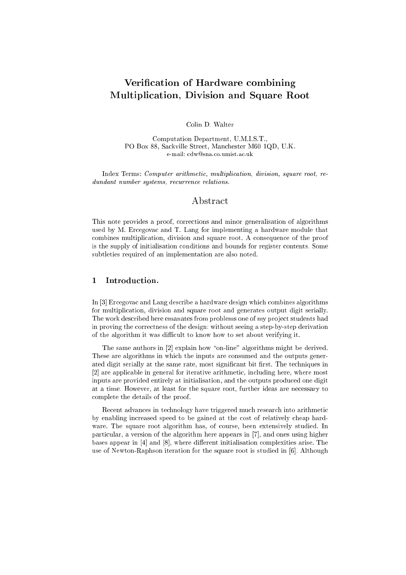# Verification of Hardware combining Multipli
ation, Division and Square Root

Colin D. Walter

Computation Department, U.M.I.S.T., PO Box 88, Sackville Street, Manchester M60 1QD, U.K. e-mail: cdw@sna.co.umist.ac.uk

Index Terms: Computer arithmetic, multiplication, division, square root, redundant number systems, recurrence relations.

## Abstra
t

This note provides a proof, orre
tions and minor generalisation of algorithms used by M. Er
egova and T. Lang for implementing a hardware module that combines multiplication, division and square root. A consequence of the proof is the supply of initialisation onditions and bounds for register ontents. Some subtleties required of an implementation are also noted.

### 1 Introduction.

In [3] Ercegovac and Lang describe a hardware design which combines algorithms for multipli
ation, division and square root and generates output digit serially. The work described here emanates from problems one of my project students had in proving the orre
tness of the design: without seeing a step-by-step derivation of the algorithm it was difficult to know how to set about verifying it.

The same authors in [2] explain how "on-line" algorithms might be derived. These are algorithms in whi
h the inputs are onsumed and the outputs generated digit serially at the same rate, most significant bit first. The techniques in [2] are applicable in general for iterative arithmetic, including here, where most inputs are provided entirely at initialisation, and the outputs produ
ed one digit at a time. However, at least for the square root, further ideas are ne
essary to omplete the details of the proof.

Recent advances in technology have triggered much research into arithmetic by enabling increased speed to be gained at the cost of relatively cheap hardware. The square root algorithm has, of ourse, been extensively studied. In particular, a version of the algorithm here appears in [7], and ones using higher bases appear in  $[4]$  and  $[8]$ , where different initialisation complexities arise. The use of Newton-Raphson iteration for the square root is studied in [6]. Although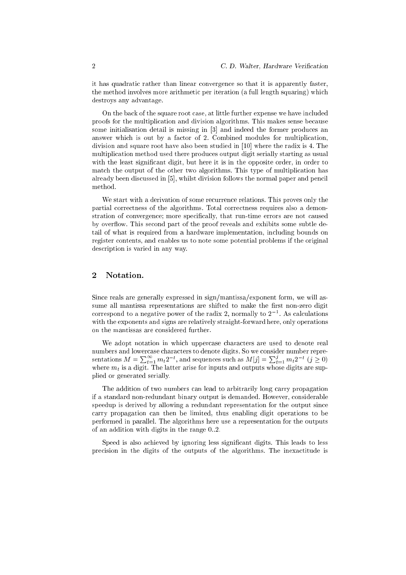it has quadrati rather than linear onvergen
e so that it is apparently faster, the method involves more arithmetic per iteration (a full length squaring) which destroys any advantage.

On the back of the square root case, at little further expense we have included proofs for the multiplication and division algorithms. This makes sense because some initialisation detail is missing in [3] and indeed the former produces an answer which is out by a factor of 2. Combined modules for multiplication, division and square root have also been studied in  $[10]$  where the radix is 4. The multipli
ation method used there produ
es output digit serially starting as usual with the least significant digit, but here it is in the opposite order, in order to mat
h the output of the other two algorithms. This type of multipli
ation has already been discussed in [5], whilst division follows the normal paper and pencil method.

We start with a derivation of some recurrence relations. This proves only the partial orre
tness of the algorithms. Total orre
tness requires also a demonstration of convergence; more specifically, that run-time errors are not caused by overflow. This second part of the proof reveals and exhibits some subtle detail of what is required from a hardware implementation, in
luding bounds on register ontents, and enables us to note some potential problems if the original des
ription is varied in any way.

#### <sup>2</sup> Notation.

Sin
e reals are generally expressed in sign/mantissa/exponent form, we will assume all mantissa representations are shifted to make the first non-zero digit correspond to a negative power of the radix 2, normally to 2  $\,$  . As calculations with the exponents and signs are relatively straight-forward here, only operations on the mantissas are onsidered further.

We adopt notation in which uppercase characters are used to denote real sentations  $M = \sum_{t=1}^{\infty} m_t 2^{-t}$ , and sequences such as  $M[j] = \sum_{t=1}^{j} m_t 2^{-t}$   $(j \ge 0)$ where  $m_t$  is a digit. The latter arise for inputs and outputs whose digits are supplied or generated serially.

The addition of two numbers an lead to arbitrarily long arry propagation if a standard non-redundant binary output is demanded. However, onsiderable speedup is derived by allowing a redundant representation for the output sin
e arry propagation an then be limited, thus enabling digit operations to be performed in parallel. The algorithms here use a representation for the outputs of an addition with digits in the range  $0.2$ .

Speed is also achieved by ignoring less significant digits. This leads to less pre
ision in the digits of the outputs of the algorithms. The inexa
titude is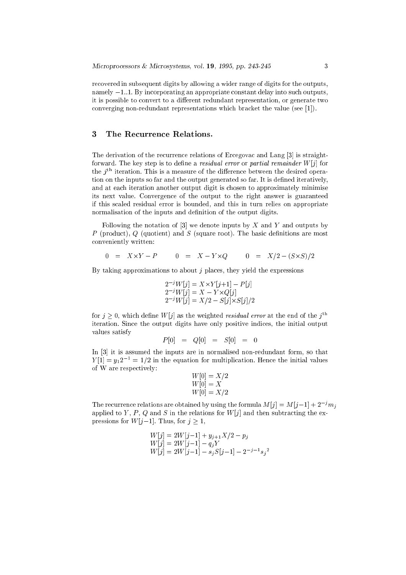re
overed in subsequent digits by allowing a wider range of digits for the outputs, namely  $-1...1$ . By incorporating an appropriate constant delay into such outputs, it is possible to convert to a different redundant representation, or generate two converging non-redundant representations which bracket the value (see [1]).

#### <sup>3</sup> The Re
urren
e Relations.

The derivation of the recurrence relations of Ercegovac and Lang [3] is straightforward. The key step is to define a residual error or partial remainder  $W[j]$  for the  $j^{\rm \scriptscriptstyle TT}$  iteration. This is a measure of the difference between the desired operation on the inputs so far and the output generated so far. It is defined iteratively, and at ea
h iteration another output digit is hosen to approximately minimise its next value. Convergen
e of the output to the right answer is guaranteed if this s
aled residual error is bounded, and this in turn relies on appropriate normalisation of the inputs and definition of the output digits.

Following the notation of  $[3]$  we denote inputs by X and Y and outputs by P (product), Q (quotient) and S (square root). The basic definitions are most onveniently written:

$$
0 = X \times Y - P \qquad 0 = X - Y \times Q \qquad 0 = X/2 - (S \times S)/2
$$

By taking approximations to about  $j$  places, they yield the expressions

$$
2^{-j}W[j] = X \times Y[j+1] - P[j]
$$
  
\n
$$
2^{-j}W[j] = X - Y \times Q[j]
$$
  
\n
$$
2^{-j}W[j] = X/2 - S[j] \times S[j]/2
$$

for  $\eta > 0$ , which define  $W(\eta)$  as the weighted *residual error* at the end of the  $\eta =$ iteration. Sin
e the output digits have only positive indi
es, the initial output values satisfy

$$
P[0] = Q[0] = S[0] = 0
$$

In  $[3]$  it is assumed the inputs are in normalised non-redundant form, so that  $Y[1] = y_1 2^{-1} = 1/2$  in the equation for multiplication. Hence the initial values of W are respe
tively:

$$
W[0] = X/2
$$
  
 
$$
W[0] = X
$$
  
 
$$
W[0] = X/2
$$

The recurrence relations are obtained by using the formula  $M[j] = M[j-1] + 2^{-j}m_j$ applied to Y, P, Q and S in the relations for  $W[j]$  and then subtracting the expressions for  $W[j-1]$ . Thus, for  $j \geq 1$ ,

$$
W[j] = 2W[j-1] + y_{j+1}X/2 - p_j
$$
  
\n
$$
W[j] = 2W[j-1] - q_jY
$$
  
\n
$$
W[j] = 2W[j-1] - s_jS[j-1] - 2^{-j-1}s_jY
$$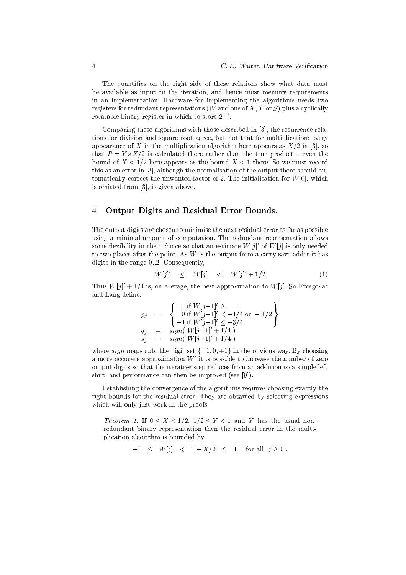The quantities on the right side of these relations show what data must be available as input to the iteration, and hen
e most memory requirements in an implementation. Hardware for implementing the algorithms needs two registers for redundant representations (W and one of  $X, Y$  or  $S$ ) plus a cyclically rotatable binary register in which to store  $2 \rightarrow$ .

Comparing these algorithms with those described in [3], the recurrence relations for division and square root agree, but not that for multipli
ation: every appearance of X in the multiplication algorithm here appears as  $X/2$  in [3], so that <sup>P</sup> = <sup>Y</sup> -X=2 is al
ulated there rather than the true produ
t { even the bound of  $X < 1/2$  here appears as the bound  $X < 1$  there. So we must record this as an error in  $[3]$ , although the normalisation of the output there should automatically correct the unwanted factor of 2. The initialisation for  $W[0]$ , which is omitted from  $[3]$ , is given above.

#### <sup>4</sup> Output Digits and Residual Error Bounds.

 $\overline{u}$ 

The output digits are hosen to minimise the next residual error as far as possible using a minimal amount of omputation. The redundant representation allows some nexibility in their choice so that an estimate  $W[j]$  or  $W[j]$  is only needed to two places after the point. As  $W$  is the output from a carry save adder it has digits in the range  $0.2$ . Consequently,

$$
W[j]' \quad \leq \quad W[j] \quad < \quad W[j]' + 1/2 \tag{1}
$$

I mus  $W[j]$  + 1/4 is, on average, the best approximation to W[j]. So Ercegovac and Lang define:

$$
p_j = \begin{cases} 1 \text{ if } W[j-1] \geq 0 \\ 0 \text{ if } W[j-1] \leq -1/4 \text{ or } -1/2 \\ -1 \text{ if } W[j-1] \leq -3/4 \\ q_j = sign(W[j-1] + 1/4) \\ s_j = sign(W[j-1] + 1/4) \end{cases}
$$

where sign maps onto the digit set  $\{-1, 0, +1\}$  in the obvious way. By choosing a more accurate approximation  $W$  it is possible to increase the number of zero  $\,$ output digits so that the iterative step redu
es from an addition to a simple left shift, and performance can then be improved (see  $[9]$ ).

Establishing the convergence of the algorithms requires choosing exactly the right bounds for the residual error. They are obtained by sele
ting expressions which will only just work in the proofs.

Theorem 1. If  $0 \le X < 1/2$ ,  $1/2 \le Y < 1$  and Y has the usual nonredundant binary representation then the residual error in the multipli
ation algorithm is bounded by

 $-1 \leq W[j] < 1 - X/2 \leq 1$  for all  $j \geq 0$ .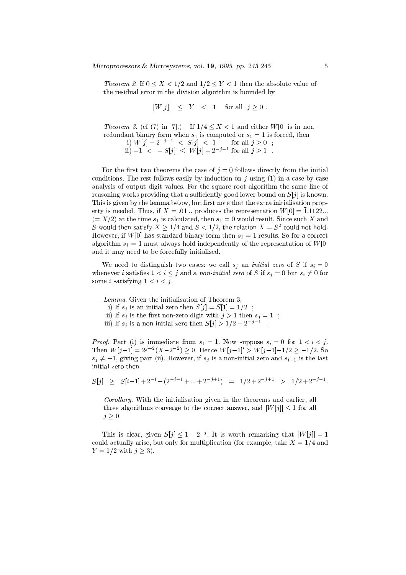*Theorem 2.* If  $0 \le X \le 1/2$  and  $1/2 \le Y \le 1$  then the absolute value of the residual error in the division algorithm is bounded by

$$
|W[j]| \leq Y < 1 \quad \text{for all} \quad j \geq 0
$$

*Theorem 3.* (cf (7) in [7].) If  $1/4 < X < 1$  and either  $W[0]$  is in nonredundant binary form when  $s_1$  is computed or  $s_1 = 1$  is forced, then<br>i)  $W[j] - 2^{-j-1} < S[j] < 1$  for all  $j \ge 0$ ;<br>ii)  $-1 < -S[j] \le W[j] - 2^{-j-1}$  for all  $j \ge 1$ .

For the first two theorems the case of  $j=0$  follows directly from the initial conditions. The rest follows easily by induction on  $j$  using (1) in a case by case analysis of output digit values. For the square root algorithm the same line of reasoning works providing that a sufficiently good lower bound on  $S[j]$  is known. This is given by the lemma below, but first note that the extra initialisation property is needed. Thus, if  $X = 0.01...$  produces the representation  $W[0] = \overline{1} \cdot 1122...$  $(= X/2)$  at the time  $s_1$  is calculated, then  $s_1 = 0$  would result. Since such X and S would then satisfy  $X \ge 1/4$  and  $S < 1/2$ , the relation  $X = S^2$  could not hold. However, if  $W[0]$  has standard binary form then  $s_1 = 1$  results. So for a correct algorithm  $s_1 = 1$  must always hold independently of the representation of  $W[0]$ and it may need to be forcefully initialised.

We need to distinguish two cases: we call  $s_j$  an *initial zero* of S if  $s_i = 0$ whenever *i* satisfies  $1 < i \leq j$  and a *non-initial zero* of S if  $s_i = 0$  but  $s_i \neq 0$  for some *i* satisfying  $1 < i < j$ .

Lemma. Given the initialisation of Theorem 3,

i) If  $s_j$  is an initial zero then  $S[j] = S[1] = 1/2$ ;

- ii) If  $s_j$  is the first non-zero digit with  $j > 1$  then  $s_j = 1$ ;
- iii) If  $s_j$  is a non-initial zero then  $S[j] > 1/2 + 2^{-j-1}$ .

*Proof.* Part (i) is immediate from  $s_1 = 1$ . Now suppose  $s_i = 0$  for  $1 < i < j$ . Then  $W[j-1] = 2^{j-2}(X-2^{-2}) \ge 0$ . Hence  $W[j-1] > W[j-1]-1/2 \ge -1/2$ . So  $s_j \neq -1$ , giving part (ii). However, if  $s_j$  is a non-initial zero and  $s_{i-1}$  is the last initial zero then

$$
S[j] \geq S[i-1] + 2^{-i} - (2^{-i-1} + ... + 2^{-j+1}) = 1/2 + 2^{-j+1} > 1/2 + 2^{-j-1}.
$$

Corollary. With the initialisation given in the theorems and earlier, all three algorithms converge to the correct answer, and  $|W[j]| < 1$  for all  $j\geq 0$ .

This is clear, given  $S[j] \leq 1 - 2^{-j}$ . It is worth remarking that  $|W[j]| = 1$ could actually arise, but only for multiplication (for example, take  $X = 1/4$  and  $Y = 1/2$  with  $j \ge 3$ ).